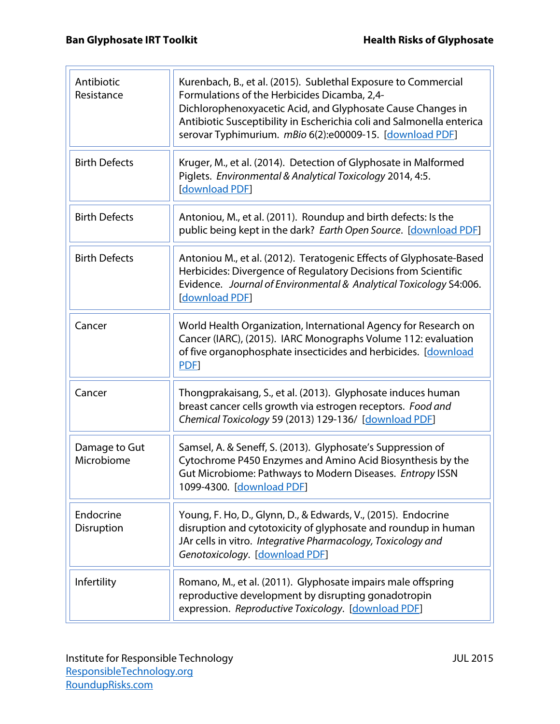匸

| Antibiotic<br>Resistance    | Kurenbach, B., et al. (2015). Sublethal Exposure to Commercial<br>Formulations of the Herbicides Dicamba, 2,4-<br>Dichlorophenoxyacetic Acid, and Glyphosate Cause Changes in<br>Antibiotic Susceptibility in Escherichia coli and Salmonella enterica<br>serovar Typhimurium. mBio 6(2):e00009-15. [download PDF] |
|-----------------------------|--------------------------------------------------------------------------------------------------------------------------------------------------------------------------------------------------------------------------------------------------------------------------------------------------------------------|
| <b>Birth Defects</b>        | Kruger, M., et al. (2014). Detection of Glyphosate in Malformed<br>Piglets. Environmental & Analytical Toxicology 2014, 4:5.<br>[download PDF]                                                                                                                                                                     |
| <b>Birth Defects</b>        | Antoniou, M., et al. (2011). Roundup and birth defects: Is the<br>public being kept in the dark? Earth Open Source. [download PDF]                                                                                                                                                                                 |
| <b>Birth Defects</b>        | Antoniou M., et al. (2012). Teratogenic Effects of Glyphosate-Based<br>Herbicides: Divergence of Regulatory Decisions from Scientific<br>Evidence. Journal of Environmental & Analytical Toxicology S4:006.<br>[download PDF]                                                                                      |
| Cancer                      | World Health Organization, International Agency for Research on<br>Cancer (IARC), (2015). IARC Monographs Volume 112: evaluation<br>of five organophosphate insecticides and herbicides. [download<br>PDF]                                                                                                         |
| Cancer                      | Thongprakaisang, S., et al. (2013). Glyphosate induces human<br>breast cancer cells growth via estrogen receptors. Food and<br>Chemical Toxicology 59 (2013) 129-136/ [download PDF]                                                                                                                               |
| Damage to Gut<br>Microbiome | Samsel, A. & Seneff, S. (2013). Glyphosate's Suppression of<br>Cytochrome P450 Enzymes and Amino Acid Biosynthesis by the<br>Gut Microbiome: Pathways to Modern Diseases. Entropy ISSN<br>1099-4300. [download PDF]                                                                                                |
| Endocrine<br>Disruption     | Young, F. Ho, D., Glynn, D., & Edwards, V., (2015). Endocrine<br>disruption and cytotoxicity of glyphosate and roundup in human<br>JAr cells in vitro. Integrative Pharmacology, Toxicology and<br>Genotoxicology. [download PDF]                                                                                  |
| Infertility                 | Romano, M., et al. (2011). Glyphosate impairs male offspring<br>reproductive development by disrupting gonadotropin<br>expression. Reproductive Toxicology. [download PDF]                                                                                                                                         |